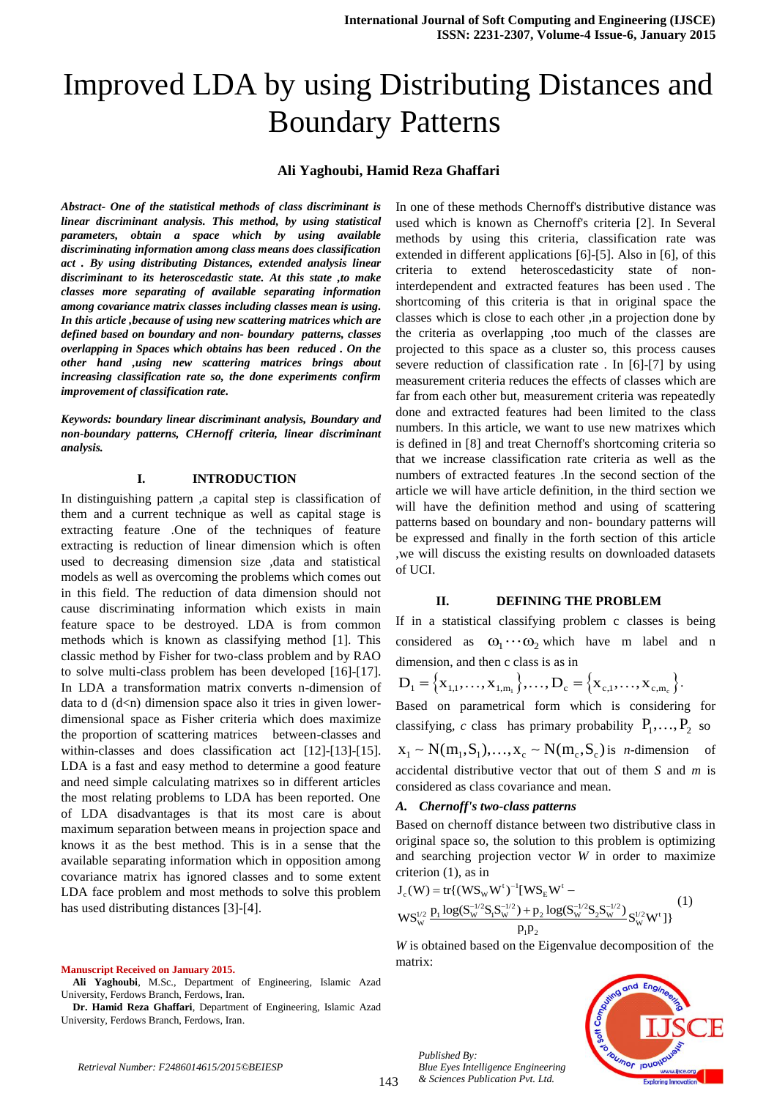# Improved LDA by using Distributing Distances and Boundary Patterns

## **Ali Yaghoubi, Hamid Reza Ghaffari**

*Abstract- One of the statistical methods of class discriminant is linear discriminant analysis. This method, by using statistical parameters, obtain a space which by using available discriminating information among class means does classification act . By using distributing Distances, extended analysis linear discriminant to its heteroscedastic state. At this state ,to make classes more separating of available separating information among covariance matrix classes including classes mean is using. In this article ,because of using new scattering matrices which are defined based on boundary and non- boundary patterns, classes overlapping in Spaces which obtains has been reduced . On the other hand ,using new scattering matrices brings about increasing classification rate so, the done experiments confirm improvement of classification rate.*

*Keywords: boundary linear discriminant analysis, Boundary and non-boundary patterns, CHernoff criteria, linear discriminant analysis.*

## **I. INTRODUCTION**

In distinguishing pattern ,a capital step is classification of them and a current technique as well as capital stage is extracting feature .One of the techniques of feature extracting is reduction of linear dimension which is often used to decreasing dimension size ,data and statistical models as well as overcoming the problems which comes out in this field. The reduction of data dimension should not cause discriminating information which exists in main feature space to be destroyed. LDA is from common methods which is known as classifying method [1]. This classic method by Fisher for two-class problem and by RAO to solve multi-class problem has been developed [16]-[17]. In LDA a transformation matrix converts n-dimension of data to  $d$  ( $d$ <n) dimension space also it tries in given lowerdimensional space as Fisher criteria which does maximize the proportion of scattering matrices between-classes and within-classes and does classification act [12]-[13]-[15]. LDA is a fast and easy method to determine a good feature and need simple calculating matrixes so in different articles the most relating problems to LDA has been reported. One of LDA disadvantages is that its most care is about maximum separation between means in projection space and knows it as the best method. This is in a sense that the available separating information which in opposition among covariance matrix has ignored classes and to some extent LDA face problem and most methods to solve this problem has used distributing distances [3]-[4].

#### **Manuscript Received on January 2015.**

**Ali Yaghoubi**, M.Sc., Department of Engineering, Islamic Azad University, Ferdows Branch, Ferdows, Iran.

**Dr. Hamid Reza Ghaffari**, Department of Engineering, Islamic Azad University, Ferdows Branch, Ferdows, Iran.

In one of these methods Chernoff's distributive distance was used which is known as Chernoff's criteria [2]. In Several methods by using this criteria, classification rate was extended in different applications [6]-[5]. Also in [6], of this criteria to extend heteroscedasticity state of noninterdependent and extracted features has been used . The shortcoming of this criteria is that in original space the classes which is close to each other ,in a projection done by the criteria as overlapping ,too much of the classes are projected to this space as a cluster so, this process causes severe reduction of classification rate . In [6]-[7] by using measurement criteria reduces the effects of classes which are far from each other but, measurement criteria was repeatedly done and extracted features had been limited to the class numbers. In this article, we want to use new matrixes which is defined in [8] and treat Chernoff's shortcoming criteria so that we increase classification rate criteria as well as the numbers of extracted features .In the second section of the article we will have article definition, in the third section we will have the definition method and using of scattering patterns based on boundary and non- boundary patterns will be expressed and finally in the forth section of this article ,we will discuss the existing results on downloaded datasets of UCI.

#### **II. DEFINING THE PROBLEM**

If in a statistical classifying problem c classes is being considered as  $\omega_1 \cdots \omega_2$  which have m label and n

dimension, and then c class is as in  
\n
$$
D_1 = \left\{ x_{1,1}, \ldots, x_{1,m_1} \right\}, \ldots, D_c = \left\{ x_{c,1}, \ldots, x_{c,m_c} \right\}.
$$

Based on parametrical form which is considering for classifying, *c* class has primary probability  $P_1, ..., P_2$  so

Exassitying, c class has primary probability  $\mathbf{r}_1, ..., \mathbf{r}_2$  so<br> $\mathbf{x}_1 \sim \mathbf{N}(\mathbf{m}_1, \mathbf{S}_1), ..., \mathbf{x}_c \sim \mathbf{N}(\mathbf{m}_c, \mathbf{S}_c)$  is *n*-dimension of accidental distributive vector that out of them *S* and *m* is considered as class covariance and mean.

#### *A. Chernoff's two-class patterns*

Based on chernoff distance between two distributive class in original space so, the solution to this problem is optimizing and searching projection vector *W* in order to maximize<br>criterion (1), as in<br> $J_c(W) = tr\{(WS_w W^t)^{-1}[WS_E W^t -$  (1) and searching projection vector<br>criterion (1), as in<br> $J_c(W) = tr{((WS_w W^t)^{-1}[WS_E W^t])}$ <sup>t</sup>)<sup>-1</sup> [WS<sub>E</sub> W<sup>t</sup>

$$
J_c(W) = tr{ (WS_w W^t)^{-1} [WS_E W^t - W S_w^{1/2} S_1 S_w^{-1/2}) + p_2 \log(S_w^{-1/2} S_2 S_w^{-1/2})} S_w^{1/2} W^t ] }
$$
  
\n
$$
y_S^{1/2} \frac{p_1 \log(S_w^{-1/2} S_1 S_w^{-1/2}) + p_2 \log(S_w^{-1/2} S_2 S_w^{-1/2})}{p_1 p_2} S_w^{1/2} W^t ] }
$$
 (1)

*W* is obtained based on the Eigenvalue decomposition of the matrix:



*Published By:*

*Blue Eyes Intelligence Engineering & Sciences Publication Pvt. Ltd.*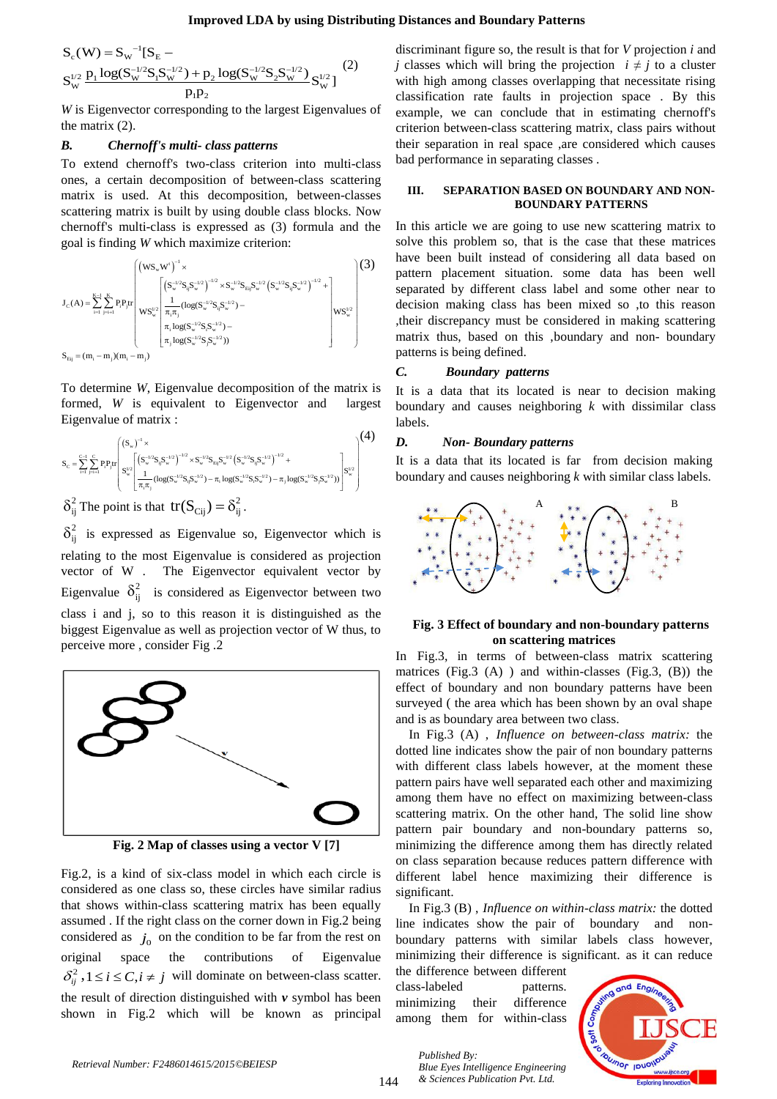#### **Improved LDA by using Distributing Distances and Boundary Patterns**

 $(4)$ 

$$
Improved LDA by using Distr1\nSc(W) = Sw-1[SE −\nSw1/2 P1 log(Sw-1/2S1Sw-1/2) + P2 log(Sw-1/2S2Sw-1/2) Sw1/2]\nP1P2
$$
\n(2)

*W* is Eigenvector corresponding to the largest Eigenvalues of the matrix (2).

#### *B. Chernoff's multi- class patterns*

To extend chernoff's two-class criterion into multi-class ones, a certain decomposition of between-class scattering matrix is used. At this decomposition, between-classes scattering matrix is built by using double class blocks. Now chernoff's multi-class is expressed as (3) formula and the

$$
J_{c}(A) = \sum_{i=1}^{K-1} \sum_{j=i+1}^{K} P_{i}P_{j}tr\n\begin{pmatrix}\n(w_{s_{w}}w^{i})^{-1} \times & & & & \\
(w_{s_{w}}w^{i})^{-1} \times & & & \\
(w_{s_{w}}w^{i})^{-1} \times & & & \\
w_{s_{w}}w^{i} \times w^{i} \times w^{i} \end{pmatrix} \begin{pmatrix}\n(w_{s_{w}}w^{i})^{-1} \times & & & \\
(w_{s_{w}}w^{i})^{-1} \times & & & \\
(w_{s_{w}}w^{i})^{-1} \times & & & \\
w_{s_{w}}w^{i} \times w^{i} \times w^{i} \end{pmatrix} \begin{pmatrix}\n(3) & & & & \\
w_{s_{w}}w^{i} \times w^{i} \times w^{i} \times w^{i} \times w^{i} \times w^{i} \times w^{i} \times w^{i} \times w^{i} \times w^{i} \times w^{i} \times w^{i} \times w^{i} \times w^{i} \times w^{i} \times w^{i} \times w^{i} \times w^{i} \times w^{i} \times w^{i} \times w^{i} \times w^{i} \times w^{i} \times w^{i} \times w^{i} \times w^{i} \times w^{i} \times w^{i} \times w^{i} \times w^{i} \times w^{i} \times w^{i} \times w^{i} \times w^{i} \times w^{i} \times w^{i} \times w^{i} \times w^{i} \times w^{i} \times w^{i} \times w^{i} \times w^{i} \times w^{i} \times w^{i} \times w^{i} \times w^{i} \times w^{i} \times w^{i} \times w^{i} \times w^{i} \times w^{i} \times w^{i} \times w^{i} \times w^{i} \times w^{i} \times w^{i} \times w^{i} \times w^{i} \times w^{i} \times w^{i} \times w^{i} \times w^{i} \times w^{i} \times w^{i} \times w^{i} \times w^{i} \times w^{i} \times w^{i} \times w^{i} \times w^{i} \times w^{i} \times w^{i} \times w^{i} \times w^{i} \times w^{i} \times w^{i} \times w^{i} \times w^{i} \times w^{i} \times w^{i} \times w^{i} \times w^{i} \times w^{i} \times w^{i} \times w^{i} \times w^{i
$$

To determine *W*, Eigenvalue decomposition of the matrix is formed, *W* is equivalent to Eigenvector and largest  $\begin{pmatrix} (s_{\infty})^{-1} \times \\ (s_{\infty})^{-1} \times \end{pmatrix}$  (4) D.

$$
\begin{array}{ll}\n\text{Eigenvalue of matrix}: & \text{la} \\
\text{Eigenvalue of matrix}: & \text{la} \\
\mathbf{s}_{c} = \sum_{i=1}^{n} \sum_{j=1}^{c} P_{i} P_{j} \text{tr}\left( S_{w}^{(1/2)} S_{j} S_{w}^{(1/2)} \right)^{-1/2} \times S_{w}^{-1/2} S_{Ej} S_{w}^{-1/2} (S_{w}^{(1/2)} S_{j} S_{w}^{-1/2})^{-1/2} + \text{Var} \\
\left( S_{w}^{(1/2)} \left( S_{w}^{(1/2)} S_{j} S_{w}^{-1/2} \right) - \pi_{i} \log(S_{w}^{(1/2)} S_{j} S_{w}^{-1/2}) - \pi_{j} \log(S_{w}^{(1/2)} S_{j} S_{w}^{-1/2}) \right) \right)^{1/2} & \text{bc} \\
\end{array}
$$

 $\delta_{ij}^2$  The point is that  $tr(S_{Cij}) = \delta_{ij}^2$ .

 $\delta_{ij}^2$  is expressed as Eigenvalue so, Eigenvector which is relating to the most Eigenvalue is considered as projection vector of W . The Eigenvector equivalent vector by Eigenvalue  $\delta_{ij}^2$  is considered as Eigenvector between two class i and j, so to this reason it is distinguished as the biggest Eigenvalue as well as projection vector of W thus, to perceive more , consider Fig .2



**Fig. 2 Map of classes using a vector V [7]**

Fig.2, is a kind of six-class model in which each circle is considered as one class so, these circles have similar radius that shows within-class scattering matrix has been equally assumed . If the right class on the corner down in Fig.2 being considered as  $j_0$  on the condition to be far from the rest on original space the contributions of Eigenvalue  $\delta_{ij}^2$ ,  $1 \le i \le C, i \ne j$  will dominate on between-class scatter. the result of direction distinguished with *v* symbol has been shown in Fig.2 which will be known as principal

discriminant figure so, the result is that for *V* projection *i* and *j* classes which will bring the projection  $i \neq j$  to a cluster with high among classes overlapping that necessitate rising classification rate faults in projection space . By this example, we can conclude that in estimating chernoff's criterion between-class scattering matrix, class pairs without their separation in real space ,are considered which causes bad performance in separating classes .

## **III. SEPARATION BASED ON BOUNDARY AND NON-BOUNDARY PATTERNS**

In this article we are going to use new scattering matrix to solve this problem so, that is the case that these matrices have been built instead of considering all data based on pattern placement situation. some data has been well separated by different class label and some other near to decision making class has been mixed so ,to this reason ,their discrepancy must be considered in making scattering matrix thus, based on this ,boundary and non- boundary patterns is being defined.

## *C. Boundary patterns*

It is a data that its located is near to decision making boundary and causes neighboring *k* with dissimilar class labels.

#### *D. Non- Boundary patterns*

It is a data that its located is far from decision making boundary and causes neighboring *k* with similar class labels.



## **Fig. 3 Effect of boundary and non-boundary patterns on scattering matrices**

In Fig.3, in terms of between-class matrix scattering matrices (Fig.3 (A) ) and within-classes (Fig.3, (B)) the effect of boundary and non boundary patterns have been surveyed ( the area which has been shown by an oval shape and is as boundary area between two class.

In Fig.3 (A) , *Influence on between-class matrix:* the dotted line indicates show the pair of non boundary patterns with different class labels however, at the moment these pattern pairs have well separated each other and maximizing among them have no effect on maximizing between-class scattering matrix. On the other hand, The solid line show pattern pair boundary and non-boundary patterns so, minimizing the difference among them has directly related on class separation because reduces pattern difference with different label hence maximizing their difference is significant.

In Fig.3 (B) , *Influence on within-class matrix:* the dotted line indicates show the pair of boundary and nonboundary patterns with similar labels class however, minimizing their difference is significant. as it can reduce

the difference between different class-labeled patterns. minimizing their difference among them for within-class

> *Blue Eyes Intelligence Engineering & Sciences Publication Pvt. Ltd.*

*Published By:*

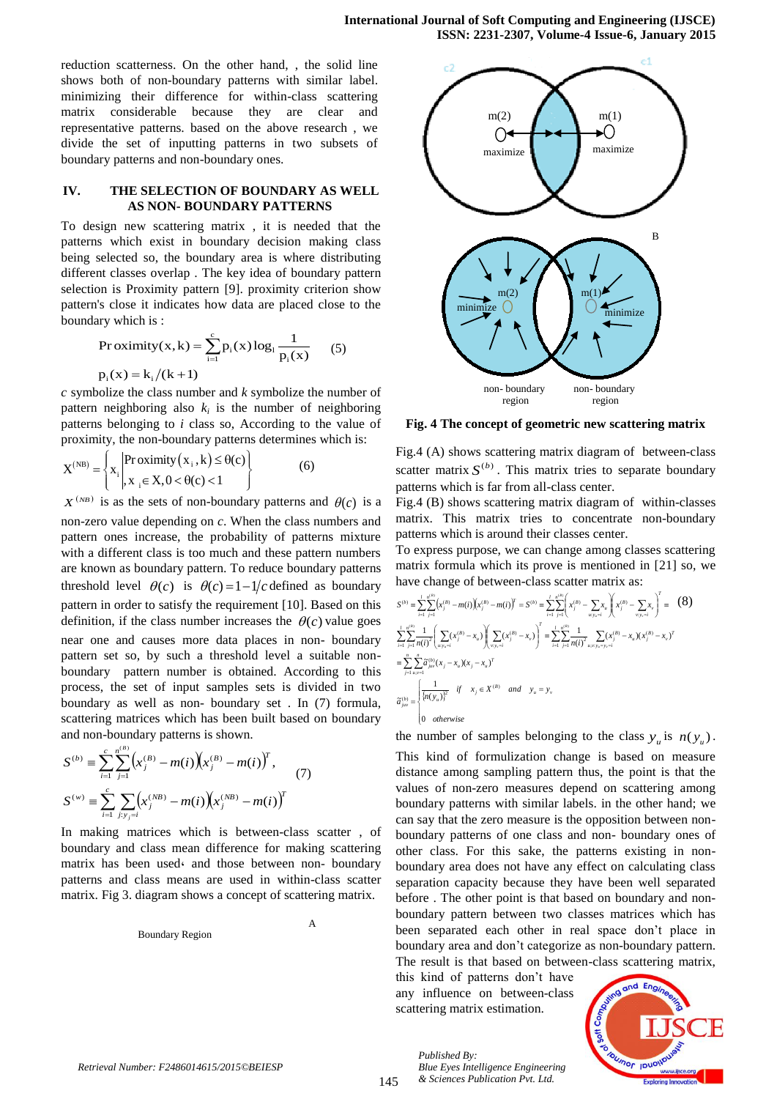reduction scatterness. On the other hand, , the solid line shows both of non-boundary patterns with similar label. minimizing their difference for within-class scattering matrix considerable because they are clear and representative patterns. based on the above research , we divide the set of inputting patterns in two subsets of boundary patterns and non-boundary ones.

## **IV. THE SELECTION OF BOUNDARY AS WELL AS NON- BOUNDARY PATTERNS**

To design new scattering matrix , it is needed that the patterns which exist in boundary decision making class being selected so, the boundary area is where distributing different classes overlap . The key idea of boundary pattern selection is Proximity pattern [9]. proximity criterion show pattern's close it indicates how data are placed close to the boundary which is :

$$
\text{Proximity}(x, k) = \sum_{i=1}^{c} p_i(x) \log_1 \frac{1}{p_i(x)} \qquad (5)
$$
\n
$$
p_i(x) = k_i / (k+1)
$$

*c* symbolize the class number and *k* symbolize the number of pattern neighboring also  $k_i$  is the number of neighboring patterns belonging to *i* class so, According to the value of

proximity, the non-boundary patterns determines which is:  
\n
$$
X^{(NB)} = \begin{cases} x_1 \Big| P r o x imity(x_1, k) \leq \theta(c) \\ x_1 \Big| X_2 \in X, 0 < \theta(c) < 1 \end{cases}
$$
\n(6)

 $X^{(NB)}$  is as the sets of non-boundary patterns and  $\theta(c)$  is a non-zero value depending on *c*. When the class numbers and pattern ones increase, the probability of patterns mixture with a different class is too much and these pattern numbers are known as boundary pattern. To reduce boundary patterns threshold level  $\theta(c)$  is  $\theta(c)=1-1/c$  defined as boundary pattern in order to satisfy the requirement [10]. Based on this definition, if the class number increases the  $\theta(c)$  value goes near one and causes more data places in non- boundary pattern set so, by such a threshold level a suitable nonboundary pattern number is obtained. According to this process, the set of input samples sets is divided in two boundary as well as non- boundary set . In (7) formula, scattering matrices which has been built based on boundary and non-boundary patterns is shown.

$$
S^{(b)} = \sum_{i=1}^{c} \sum_{j=1}^{n^{(B)}} \left( x_j^{(B)} - m(i) \right) \left( x_j^{(B)} - m(i) \right)^T,
$$
  
\n
$$
S^{(w)} = \sum_{i=1}^{c} \sum_{j: y_j = i} \left( x_j^{(NB)} - m(i) \right) \left( x_j^{(NB)} - m(i) \right)^T
$$
 (7)

In making matrices which is between-class scatter , of boundary and class mean difference for making scattering matrix has been used and those between non- boundary patterns and class means are used in within-class scatter matrix. Fig 3. diagram shows a concept of scattering matrix.

Boundary Region

A



**Fig. 4 The concept of geometric new scattering matrix** ت

Fig.4 (A) shows scattering matrix diagram of between-class scatter matrix  $S^{(b)}$ . This matrix tries to separate boundary patterns which is far from all-class center.

Fig.4 (B) shows scattering matrix diagram of within-classes matrix. This matrix tries to concentrate non-boundary patterns which is around their classes center.

To express purpose, we can change among classes scattering matrix formula which its prove is mentioned in [21] so, we have change of between-class scatter matrix as:

$$
S^{(b)} = \sum_{i=1}^{l} \sum_{j=1}^{n^{(B)}} (x_j^{(B)} - m(i)) (x_j^{(B)} - m(i))^T = S^{(b)} \equiv \sum_{i=1}^{l} \sum_{j=1}^{n^{(B)}} \left( x_j^{(B)} - \sum_{w,y_i=1} x_u \right) (x_j^{(B)} - \sum_{w,y_i=1} x_y)^T \equiv (8)
$$
  

$$
\sum_{i=1}^{l} \sum_{j=1}^{n^{(B)}} \frac{1}{n(i)^2} \left( \sum_{w,y_n=1}^{n} (x_j^{(B)} - x_u) \right) \left( \sum_{w,y_n=1}^{n} (x_j^{(B)} - x_v) \right)^T = \sum_{i=1}^{l} \sum_{j=1}^{n^{(B)}} \frac{1}{n(i)^2} \sum_{w,y,y_n=1}^{n} (x_j^{(B)} - x_u) (x_j^{(B)} - x_v)^T
$$
  

$$
= \sum_{j=1}^{n} \sum_{u,v=1}^{n} \widetilde{\alpha}_{juv}^{(B)} (x_j - x_u) (x_j - x_u)^T
$$
  

$$
\widetilde{\alpha}_{juv}^{(b)} = \begin{cases} \frac{1}{\{n(y_u)\}^2} & \text{if } x_j \in X^{(B)} \quad \text{and} \quad y_u = y_v \\ 0 & \text{otherwise} \end{cases}
$$

the number of samples belonging to the class  $y_u$  is  $n(y_u)$ . This kind of formulization change is based on measure distance among sampling pattern thus, the point is that the values of non-zero measures depend on scattering among boundary patterns with similar labels. in the other hand; we can say that the zero measure is the opposition between nonboundary patterns of one class and non- boundary ones of other class. For this sake, the patterns existing in nonboundary area does not have any effect on calculating class separation capacity because they have been well separated before . The other point is that based on boundary and nonboundary pattern between two classes matrices which has been separated each other in real space don't place in boundary area and don't categorize as non-boundary pattern. The result is that based on between-class scattering matrix,

this kind of patterns don't have any influence on between-class scattering matrix estimation.

> *Blue Eyes Intelligence Engineering & Sciences Publication Pvt. Ltd.*

*Published By:*

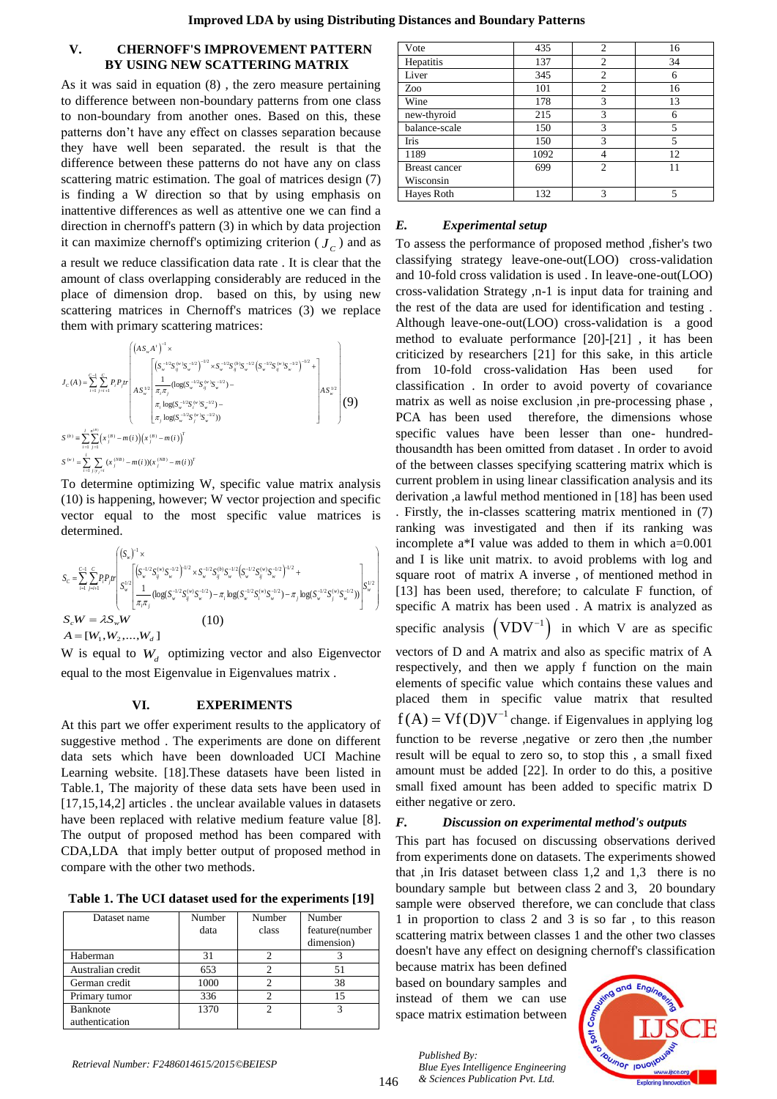# **V. CHERNOFF'S IMPROVEMENT PATTERN BY USING NEW SCATTERING MATRIX**

As it was said in equation (8) , the zero measure pertaining to difference between non-boundary patterns from one class to non-boundary from another ones. Based on this, these patterns don't have any effect on classes separation because they have well been separated. the result is that the difference between these patterns do not have any on class scattering matric estimation. The goal of matrices design (7) is finding a W direction so that by using emphasis on inattentive differences as well as attentive one we can find a direction in chernoff's pattern (3) in which by data projection it can maximize chernoff's optimizing criterion  $(J_c)$  and as

a result we reduce classification data rate . It is clear that the amount of class overlapping considerably are reduced in the place of dimension drop. based on this, by using new scattering matrices in Chernoff's matrices (3) we replace

Substituting matrices in Chern is matrices (3) we replace

\nthem with primary scattering matrices:

\n
$$
J_{c}(A) = \sum_{i=1}^{c-1} \sum_{j=i+1}^{c} P_{i} P_{j} r \left( \frac{(s_{w}^{T/3} s_{w}^{(n)} S_{w}^{-12})^{-1/2} \times S_{w}^{-1/2} S_{w}^{(n)} S_{w}^{-1/2} (S_{w}^{-1/2} S_{w}^{(n)} S_{w}^{-1/2})^{-1/2}}{s_{w}} + \frac{1}{\pi_{c} \pi_{j}} (\log(S_{w}^{-1/2} S_{w}^{(n)} S_{w}^{-1/2}) - \frac{1}{\pi_{c} \log(S_{w}^{-1/2} S_{w}^{(n)} S_{w}^{-1/2})^{-1}}) + \frac{1}{\pi_{c} \log(S_{w}^{-1/2} S_{w}^{(n)} S_{w}^{-1/2})^{-1}} \right)
$$
\n
$$
S^{(b)} = \sum_{i=1}^{c} \sum_{j=1}^{n^{(b)}} (x_{j}^{(B)} - m(i)) (x_{j}^{(B)} - m(i))^{T}
$$
\n
$$
S^{(w)} = \sum_{i=1}^{c} \sum_{j>y_{j} \neq i} (x_{j}^{(B)} - m(i)) (x_{j}^{(M)} - m(i))^{T}
$$

To determine optimizing W, specific value matrix analysis (10) is happening, however; W vector projection and specific vector equal to the most specific value matrices is determined.

$$
\begin{split} &S_{c} = \sum_{i=1}^{c-1} \sum_{j=i+1}^{c} P_{i} P_{j} r \left| \begin{array}{l} \left( S_{w} \right)^{-1} \times \\ & S_{w} \left[ \begin{array}{l} \left( S_{w}^{-1/2} S_{ij}^{(w)} S_{w}^{-1/2} \right)^{-1/2} \times S_{w}^{-1/2} S_{ij}^{(b)} S_{w}^{-1/2} \left( S_{w}^{-1/2} S_{ij}^{(w)} S_{w}^{-1/2} \right)^{-1/2} + \\ & \left( \frac{1}{\pi_{i} \pi_{j}} (\log (S_{w}^{-1/2} S_{ij}^{(w)} S_{w}^{-1/2}) - \pi_{i} \log (S_{w}^{-1/2} S_{i}^{(w)} S_{w}^{-1/2}) - \pi_{j} \log (S_{w}^{-1/2} S_{j}^{(w)} S_{w}^{-1/2}) \right) \end{array} \right] \end{split} \\ & \begin{split} S_{c} W = \lambda S_{w} W \\ & \left. A = [W_{1}, W_{2}, ..., W_{d}] \end{split} \end{split}
$$

W is equal to  $W_d$  optimizing vector and also Eigenvector equal to the most Eigenvalue in Eigenvalues matrix .

# **VI. EXPERIMENTS**

At this part we offer experiment results to the applicatory of suggestive method . The experiments are done on different data sets which have been downloaded UCI Machine Learning website. [18].These datasets have been listed in Table.1, The majority of these data sets have been used in [17,15,14,2] articles . the unclear available values in datasets have been replaced with relative medium feature value [8]. The output of proposed method has been compared with CDA,LDA that imply better output of proposed method in compare with the other two methods.

**Table 1. The UCI dataset used for the experiments [19]**

| Dataset name      | Number | Number | Number         |
|-------------------|--------|--------|----------------|
|                   | data   | class  | feature(number |
|                   |        |        | dimension)     |
| Haberman          | 31     |        |                |
| Australian credit | 653    |        | 51             |
| German credit     | 1000   |        | 38             |
| Primary tumor     | 336    |        | 15             |
| <b>Banknote</b>   | 1370   |        | 3              |
| authentication    |        |        |                |

| Vote                 | 435  | 2              | 16 |
|----------------------|------|----------------|----|
| Hepatitis            | 137  | $\overline{2}$ | 34 |
| Liver                | 345  | $\overline{2}$ | 6  |
| Zoo                  | 101  | 2              | 16 |
| Wine                 | 178  | 3              | 13 |
| new-thyroid          | 215  | 3              | 6  |
| balance-scale        | 150  | 3              | 5  |
| <b>Iris</b>          | 150  | 3              | 5  |
| 1189                 | 1092 | 4              | 12 |
| <b>Breast cancer</b> | 699  | $\overline{c}$ | 11 |
| Wisconsin            |      |                |    |
| Hayes Roth           | 132  | 3              | 5  |

# *E. Experimental setup*

To assess the performance of proposed method ,fisher's two classifying strategy leave-one-out(LOO) cross-validation and 10-fold cross validation is used . In leave-one-out(LOO) cross-validation Strategy ,n-1 is input data for training and the rest of the data are used for identification and testing . Although leave-one-out(LOO) cross-validation is a good method to evaluate performance [20]-[21] , it has been criticized by researchers [21] for this sake, in this article from 10-fold cross-validation Has been used for classification . In order to avoid poverty of covariance matrix as well as noise exclusion ,in pre-processing phase , PCA has been used therefore, the dimensions whose specific values have been lesser than one- hundredthousandth has been omitted from dataset . In order to avoid of the between classes specifying scattering matrix which is current problem in using linear classification analysis and its derivation ,a lawful method mentioned in [18] has been used

. Firstly, the in-classes scattering matrix mentioned in (7) ranking was investigated and then if its ranking was incomplete a\*I value was added to them in which a=0.001 and I is like unit matrix. to avoid problems with log and square root of matrix A inverse , of mentioned method in [13] has been used, therefore; to calculate F function, of specific A matrix has been used . A matrix is analyzed as specific analysis  $(VDV^{-1})$  in which V are as specific vectors of D and A matrix and also as specific matrix of A respectively, and then we apply f function on the main elements of specific value which contains these values and placed them in specific value matrix that resulted  $f(A) = Vf(D)V^{-1}$  change. if Eigenvalues in applying log function to be reverse ,negative or zero then ,the number result will be equal to zero so, to stop this , a small fixed amount must be added [22]. In order to do this, a positive small fixed amount has been added to specific matrix D either negative or zero.

## *F. Discussion on experimental method's outputs*

This part has focused on discussing observations derived from experiments done on datasets. The experiments showed that ,in Iris dataset between class 1,2 and 1,3 there is no boundary sample but between class 2 and 3, 20 boundary sample were observed therefore, we can conclude that class 1 in proportion to class 2 and 3 is so far , to this reason scattering matrix between classes 1 and the other two classes doesn't have any effect on designing chernoff's classification

because matrix has been defined based on boundary samples and instead of them we can use space matrix estimation between

> *Blue Eyes Intelligence Engineering & Sciences Publication Pvt. Ltd.*

*Published By:*